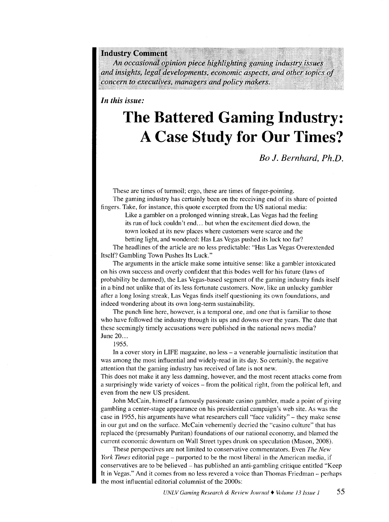**Industry Comment** 

An occasional opinion piece highlighting gaming industry *and insights, legal developments, economic aspects, and other topics of* concern to executives, managers and policy makers.

*In this issue:* 

## **The Battered Gaming Industry: A Case Study for Our Times?**

*Bo* **J.** *Bernhard, Ph.D.* 

These are times of turmoil; ergo, these are times of finger-pointing.

The gaming industry has certainly been on the receiving end of its share of pointed fingers. Take, for instance, this quote excerpted from the US national media:

Like a gambler on a prolonged winning streak, Las Vegas had the feeling its run of luck couldn't end ... but when the excitement died down, the town looked at its new places where customers were scarce and the betting light, and wondered: Has Las Vegas pushed its luck too far?

The headlines of the article are no less predictable: "Has Las Vegas Overextended Itself? Gambling Town Pushes Its Luck."

The arguments in the article make some intuitive sense: like a gambler intoxicated on his own success and overly confident that this bodes well for his future (laws of probability be damned), the Las Vegas-based segment of the gaming industry finds itself in a bind not unlike that of its less fortunate customers. Now, like an unlucky gambler after a long losing streak, Las Vegas finds itself questioning its own foundations, and indeed wondering about its own long-term sustainability.

The punch line here, however, is a temporal one, and one that is familiar to those who have followed the industry through its ups and downs over the years. The date that these seemingly timely accusations were published in the national news media? June 20...

1955.

In a cover story in LIFE magazine, no less – a venerable journalistic institution that was among the most influential and widely-read in its day. So certainly, the negative attention that the gaming industry has received of late is not new.

This does not make it any less damning, however, and the most recent attacks come from a surprisingly wide variety of voices – from the political right, from the political left, and even from the new US president.

John McCain, himself a famously passionate casino gambler, made a point of giving gambling a center-stage appearance on his presidential campaign's web site. As was the case in 1955, his arguments have what researchers call "face validity"- they make sense in our gut and on the surface. McCain vehemently decried the "casino culture" that has replaced the (presumably Puritan) foundations of our national economy, and blamed the current economic downturn on Wall Street types drunk on speculation (Mason, 2008).

These perspectives are not limited to conservative commentators. Even *The New York Times* editorial page – purported to be the most liberal in the American media, if conservatives are to be believed- has published an anti-gambling critique entitled "Keep It in Vegas." And it comes from no less revered a voice than Thomas Friedman- perhaps the most influential editorial columnist of the 2000s: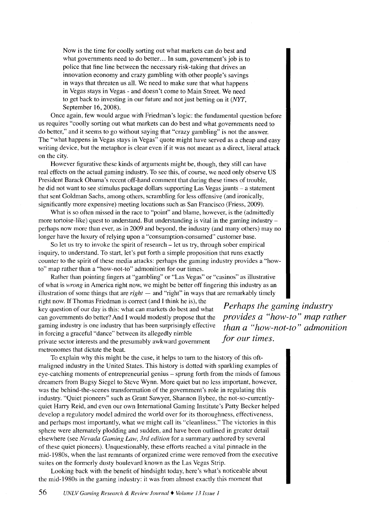Now is the time for coolly sorting out what markets can do best and what governments need to do better... In sum, government's job is to police that fine line between the necessary risk-taking that drives an innovation economy and crazy gambling with other people's savings in ways that threaten us all. We need to make sure that what happens in Vegas stays in Vegas - and doesn't come to Main Street. We need to get back to investing in our future and not just betting on it (NYT, September 16, 2008).

Once again, few would argue with Friedman's logic: the fundamental question before us requires "coolly sorting out what markets can do best and what governments need to do better," and it seems to go without saying that "crazy gambling" is not the answer. The "what happens in Vegas stays in Vegas" quote might have served as a cheap and easy writing device, but the metaphor is clear even if it was not meant as a direct, literal attack on the city.

However figurative these kinds of arguments might be, though, they still can have real effects on the actual gaming industry. To see this, of course, we need only observe US President Barack Obama's recent off-hand comment that during these times of trouble, he did not want to see stimulus package dollars supporting Las Vegas jaunts- a statement that sent Goldman Sachs, among others, scrambling for less offensive (and ironically, significantly more expensive) meeting locations such as San Francisco (Friess, 2009).

What is so often missed in the race to "point" and blame, however, is the (admittedly more tortoise-like) quest to understand. But understanding is vital in the gaming industryperhaps now more than ever, as in 2009 and beyond, the industry (and many others) may no longer have the luxury of relying upon a "consumption-consumed" customer base.

So let us try to invoke the spirit of research – let us try, through sober empirical inquiry, to understand. To start, let's put forth a simple proposition that runs exactly counter to the spirit of these media attacks: perhaps the gaming industry provides a "howto" map rather than a "how-not-to" admonition for our times.

Rather than pointing fingers at "gambling" or "Las Vegas" or "casinos" as illustrative of what is *wrong* in America right now, we might be better off fingering this industry as an illustration of some things that are  $right$  - and "right" in ways that are remarkably timely right now. If Thomas Friedman is correct (and I think he is), the

key question of our day is this: what can markets do best and what can governments do better? And I would modestly propose that the gaming industry is one industry that has been surprisingly effective in forcing a graceful "dance" between its allegedly nimble private sector interests and the presumably awkward government metronomes that dictate the beat.

*Perhaps the gaming industry provides a "how-to" map rather than a "how-not-to" admonition for our times.* 

To explain why this might be the case, it helps to tum to the history of this oftmaligned industry in the United States. This history is dotted with sparkling examples of eye-catching moments of entrepreneurial genius - sprung forth from the minds of famous dreamers from Bugsy Siegel to Steve Wynn. More quiet but no less important, however, was the behind-the-scenes transformation of the government's role in regulating this industry. "Quiet pioneers" such as Grant Sawyer, Shannon Bybee, the not-so-currentlyquiet Harry Reid, and even our own International Gaming Institute's Patty Becker helped develop a regulatory model admired the world over for its thoroughness, effectiveness, and perhaps most importantly, what we might call its "cleanliness." The victories in this sphere were alternately plodding and sudden, and have been outlined in greater detail elsewhere (see *Nevada Gaming Law, 3rd edition* for a summary authored by several of these quiet pioneers). Unquestionably, these efforts reached a vital pinnacle in the mid-1980s, when the last remnants of organized crime were removed from the executive suites on the formerly dusty boulevard known as the Las Vegas Strip.

Looking back with the benefit of hindsight today, here's what's noticeable about the mid-1980s in the gaming industry: it was from almost exactly this moment that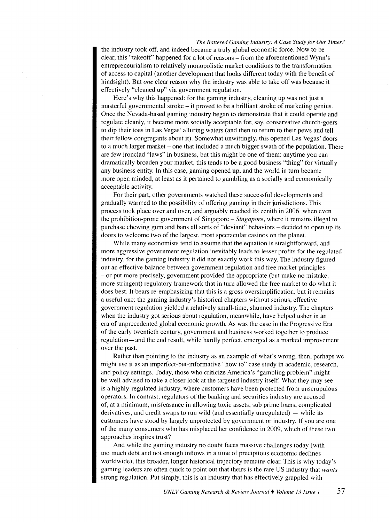## *The Battered Gaming Industry: A Case Study for Our Times?*

the industry took off, and indeed became a truly global economic force. Now to be clear, this "takeoff" happened for a lot of reasons – from the aforementioned Wynn's entrepreneurialism to relatively monopolistic market conditions to the transformation of access to capital (another development that looks different today with the benefit of hindsight). But *one* clear reason why the industry was able to take off was because it effectively "cleaned up" via government regulation.

Here's why this happened: for the gaming industry, cleaning up was not just a masterful governmental stroke - it proved to be a brilliant stroke of marketing genius. Once the Nevada-based gaming industry began to demonstrate that it could operate and regulate cleanly, it became more socially acceptable for, say, conservative church-goers to dip their toes in Las Vegas' alluring waters (and then to return to their pews and tell their fellow congregants about it). Somewhat unwittingly, this opened Las Vegas' doors to a much larger market- one that included a much bigger swath of the population. There are few ironclad "laws" in business, but this might be one of them: anytime you can dramatically broaden your market, this tends to be a good business "thing" for virtually any business entity. In this case, gaming opened up, and the world in turn became more open minded, at least as it pertained to gambling as a socially and economically acceptable activity.

For their part, other governments watched these successful developments and gradually warmed to the possibility of offering gaming in their jurisdictions. This process took place over and over, and arguably reached its zenith in 2006, when even the prohibition-prone government of Singapore- *Singapore,* where it remains illegal to purchase chewing gum and bans all sorts of "deviant" behaviors -decided to open up its doors to welcome two of the largest, most spectacular casinos on the planet.

While many economists tend to assume that the equation is straightforward, and more aggressive government regulation inevitably leads to lesser profits for the regulated industry, for the gaming industry it did not exactly work this way. The industry figured out an effective balance between government regulation and free market principles  $-$ or put more precisely, government provided the appropriate (but make no mistake, more stringent) regulatory framework that in turn allowed the free market to do what it does best. It bears re-emphasizing that this is a gross oversimplification, but it remains a useful one: the gaming industry's historical chapters without serious, effective government regulation yielded a relatively small-time, shunned industry. The chapters when the industry got serious about regulation, meanwhile, have helped usher in an era of unprecedented global economic growth. As was the case in the Progressive Era of the early twentieth century, government and business worked together to produce regulation-and the end result, while hardly perfect, emerged as a marked improvement over the past.

Rather than pointing to the industry as an example of what's wrong, then, perhaps we might use it as an imperfect-but-informative "how to" case study in academic, research, and policy settings. Today, those who criticize America's "gambling problem" might be well advised to take a closer look at the targeted industry itself. What they may see is a highly-regulated industry, where customers have been protected from unscrupulous operators. In contrast, regulators of the banking and securities industry are accused of, at a minimum, misfeasance in allowing toxic assets, sub prime loans, complicated derivatives, and credit swaps to run wild (and essentially unregulated)  $-$  while its customers have stood by largely unprotected by government or industry. If you are one of the many consumers who has misplaced her confidence in 2009, which of these two approaches inspires trust?

And while the gaming industry no doubt faces massive challenges today (with too much debt and not enough inflows in a time of precipitous economic declines worldwide), this broader, longer historical trajectory remains clear. This is why today's gaming leaders are often quick to point out that theirs is the rare US industry that *wants*  strong regulation. Put simply, this is an industry that has effectively grappled with